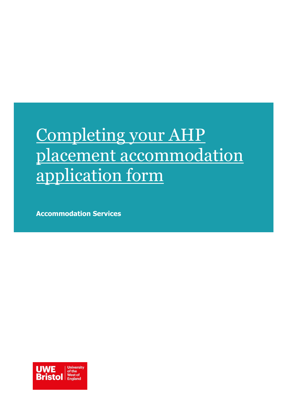# Completing your AHP placement accommodation application form

**Accommodation Services**

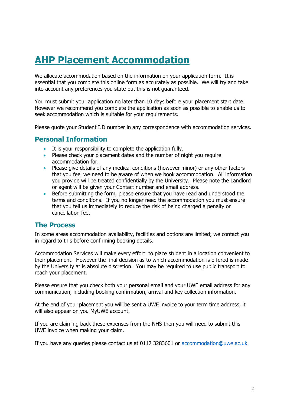## **AHP Placement Accommodation**

We allocate accommodation based on the information on your application form. It is essential that you complete this online form as accurately as possible. We will try and take into account any preferences you state but this is not guaranteed.

You must submit your application no later than 10 days before your placement start date. However we recommend you complete the application as soon as possible to enable us to seek accommodation which is suitable for your requirements.

Please quote your Student I.D number in any correspondence with accommodation services.

### **Personal Information**

- It is your responsibility to complete the application fully.
- Please check your placement dates and the number of night you require accommodation for.
- Please give details of any medical conditions (however minor) or any other factors that you feel we need to be aware of when we book accommodation. All information you provide will be treated confidentially by the University. Please note the Landlord or agent will be given your Contact number and email address.
- Before submitting the form, please ensure that you have read and understood the terms and conditions. If you no longer need the accommodation you must ensure that you tell us immediately to reduce the risk of being charged a penalty or cancellation fee.

### **The Process**

In some areas accommodation availability, facilities and options are limited; we contact you in regard to this before confirming booking details.

Accommodation Services will make every effort to place student in a location convenient to their placement. However the final decision as to which accommodation is offered is made by the University at is absolute discretion. You may be required to use public transport to reach your placement.

Please ensure that you check both your personal email and your UWE email address for any communication, including booking confirmation, arrival and key collection information.

At the end of your placement you will be sent a UWE invoice to your term time address, it will also appear on you MyUWE account.

If you are claiming back these expenses from the NHS then you will need to submit this UWE invoice when making your claim.

If you have any queries please contact us at 0117 3283601 or [accommodation@uwe.ac.uk](mailto:accommodation@uwe.ac.uk)